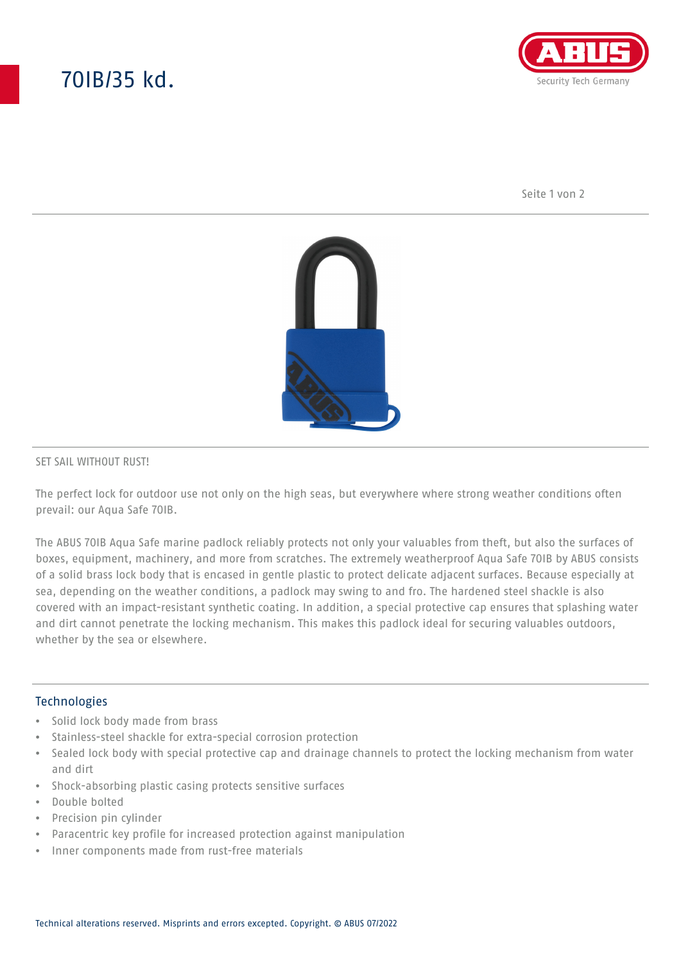# 70IB/35 kd.



Seite 1 von 2



#### SET SAIL WITHOUT RUST!

The perfect lock for outdoor use not only on the high seas, but everywhere where strong weather conditions often prevail: our Aqua Safe 70IB.

The ABUS 70IB Aqua Safe marine padlock reliably protects not only your valuables from theft, but also the surfaces of boxes, equipment, machinery, and more from scratches. The extremely weatherproof Aqua Safe 70IB by ABUS consists of a solid brass lock body that is encased in gentle plastic to protect delicate adjacent surfaces. Because especially at sea, depending on the weather conditions, a padlock may swing to and fro. The hardened steel shackle is also covered with an impact-resistant synthetic coating. In addition, a special protective cap ensures that splashing water and dirt cannot penetrate the locking mechanism. This makes this padlock ideal for securing valuables outdoors, whether by the sea or elsewhere.

### Technologies

- Solid lock body made from brass
- Stainless-steel shackle for extra-special corrosion protection
- Sealed lock body with special protective cap and drainage channels to protect the locking mechanism from water and dirt
- Shock-absorbing plastic casing protects sensitive surfaces
- Double bolted
- Precision pin cylinder
- Paracentric key profile for increased protection against manipulation
- Inner components made from rust-free materials